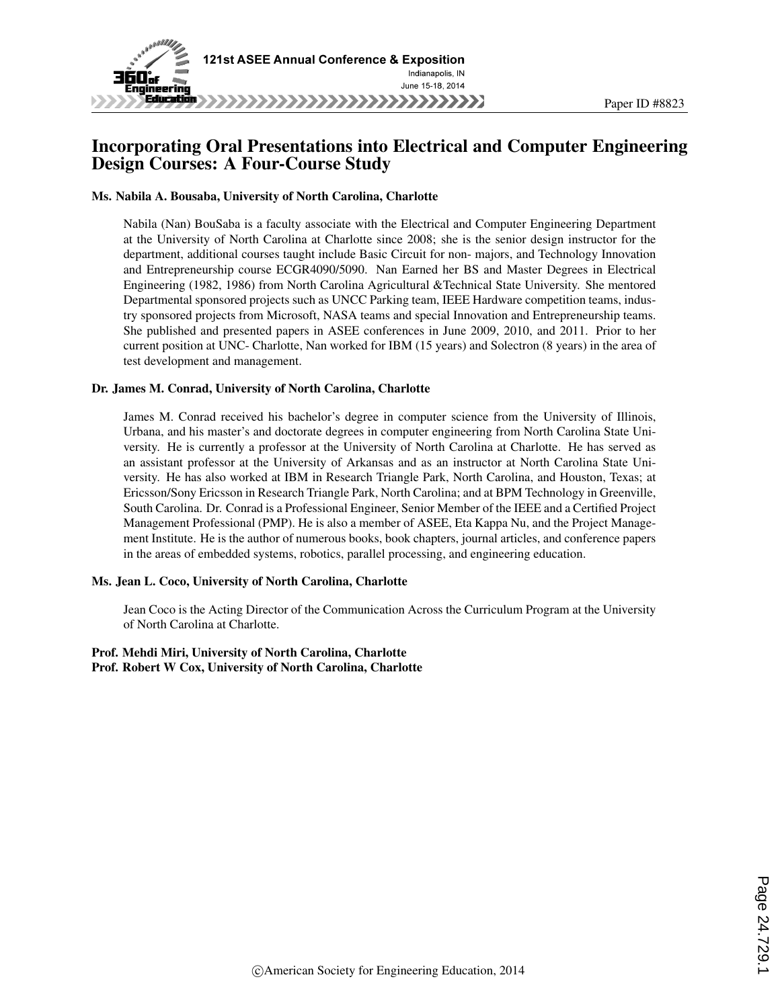

## Incorporating Oral Presentations into Electrical and Computer Engineering Design Courses: A Four-Course Study

Paper ID #8823

#### Ms. Nabila A. Bousaba, University of North Carolina, Charlotte

Nabila (Nan) BouSaba is a faculty associate with the Electrical and Computer Engineering Department at the University of North Carolina at Charlotte since 2008; she is the senior design instructor for the department, additional courses taught include Basic Circuit for non- majors, and Technology Innovation and Entrepreneurship course ECGR4090/5090. Nan Earned her BS and Master Degrees in Electrical Engineering (1982, 1986) from North Carolina Agricultural &Technical State University. She mentored Departmental sponsored projects such as UNCC Parking team, IEEE Hardware competition teams, industry sponsored projects from Microsoft, NASA teams and special Innovation and Entrepreneurship teams. She published and presented papers in ASEE conferences in June 2009, 2010, and 2011. Prior to her current position at UNC- Charlotte, Nan worked for IBM (15 years) and Solectron (8 years) in the area of test development and management.

#### Dr. James M. Conrad, University of North Carolina, Charlotte

James M. Conrad received his bachelor's degree in computer science from the University of Illinois, Urbana, and his master's and doctorate degrees in computer engineering from North Carolina State University. He is currently a professor at the University of North Carolina at Charlotte. He has served as an assistant professor at the University of Arkansas and as an instructor at North Carolina State University. He has also worked at IBM in Research Triangle Park, North Carolina, and Houston, Texas; at Ericsson/Sony Ericsson in Research Triangle Park, North Carolina; and at BPM Technology in Greenville, South Carolina. Dr. Conrad is a Professional Engineer, Senior Member of the IEEE and a Certified Project Management Professional (PMP). He is also a member of ASEE, Eta Kappa Nu, and the Project Management Institute. He is the author of numerous books, book chapters, journal articles, and conference papers in the areas of embedded systems, robotics, parallel processing, and engineering education.

#### Ms. Jean L. Coco, University of North Carolina, Charlotte

Jean Coco is the Acting Director of the Communication Across the Curriculum Program at the University of North Carolina at Charlotte.

#### Prof. Mehdi Miri, University of North Carolina, Charlotte Prof. Robert W Cox, University of North Carolina, Charlotte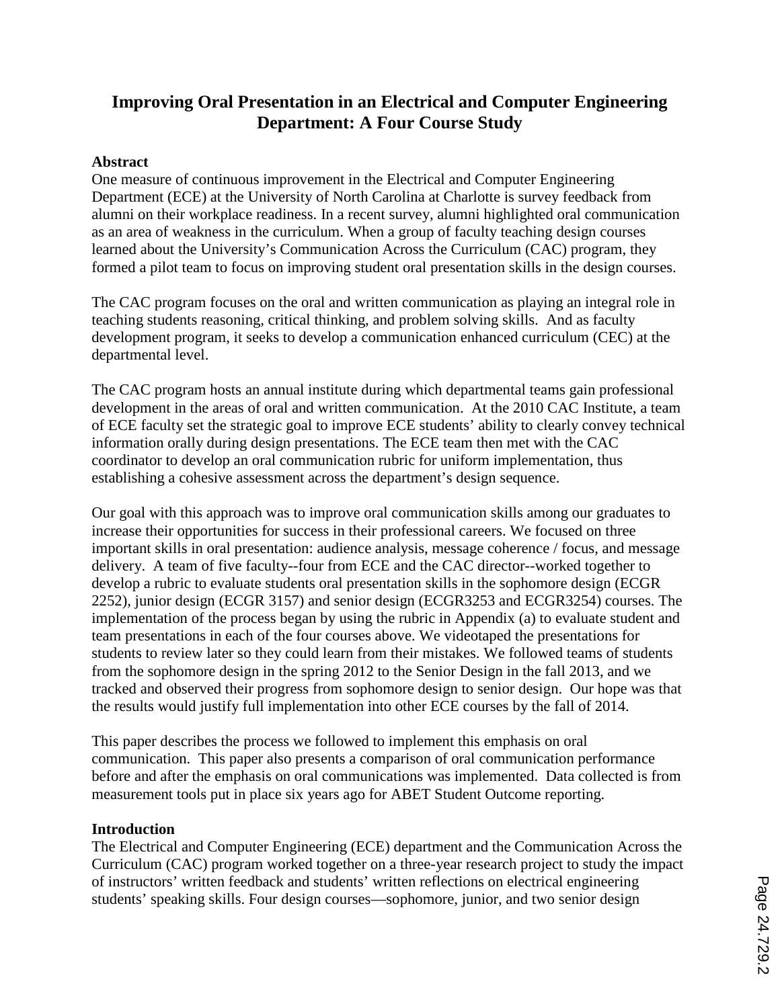# **Improving Oral Presentation in an Electrical and Computer Engineering Department: A Four Course Study**

#### **Abstract**

One measure of continuous improvement in the Electrical and Computer Engineering Department (ECE) at the University of North Carolina at Charlotte is survey feedback from alumni on their workplace readiness. In a recent survey, alumni highlighted oral communication as an area of weakness in the curriculum. When a group of faculty teaching design courses learned about the University's Communication Across the Curriculum (CAC) program, they formed a pilot team to focus on improving student oral presentation skills in the design courses.

The CAC program focuses on the oral and written communication as playing an integral role in teaching students reasoning, critical thinking, and problem solving skills. And as faculty development program, it seeks to develop a communication enhanced curriculum (CEC) at the departmental level.

The CAC program hosts an annual institute during which departmental teams gain professional development in the areas of oral and written communication. At the 2010 CAC Institute, a team of ECE faculty set the strategic goal to improve ECE students' ability to clearly convey technical information orally during design presentations. The ECE team then met with the CAC coordinator to develop an oral communication rubric for uniform implementation, thus establishing a cohesive assessment across the department's design sequence.

Our goal with this approach was to improve oral communication skills among our graduates to increase their opportunities for success in their professional careers. We focused on three important skills in oral presentation: audience analysis, message coherence / focus, and message delivery. A team of five faculty--four from ECE and the CAC director--worked together to develop a rubric to evaluate students oral presentation skills in the sophomore design (ECGR 2252), junior design (ECGR 3157) and senior design (ECGR3253 and ECGR3254) courses. The implementation of the process began by using the rubric in Appendix (a) to evaluate student and team presentations in each of the four courses above. We videotaped the presentations for students to review later so they could learn from their mistakes. We followed teams of students from the sophomore design in the spring 2012 to the Senior Design in the fall 2013, and we tracked and observed their progress from sophomore design to senior design. Our hope was that the results would justify full implementation into other ECE courses by the fall of 2014.

This paper describes the process we followed to implement this emphasis on oral communication. This paper also presents a comparison of oral communication performance before and after the emphasis on oral communications was implemented. Data collected is from measurement tools put in place six years ago for ABET Student Outcome reporting.

#### **Introduction**

The Electrical and Computer Engineering (ECE) department and the Communication Across the Curriculum (CAC) program worked together on a three-year research project to study the impact of instructors' written feedback and students' written reflections on electrical engineering students' speaking skills. Four design courses—sophomore, junior, and two senior design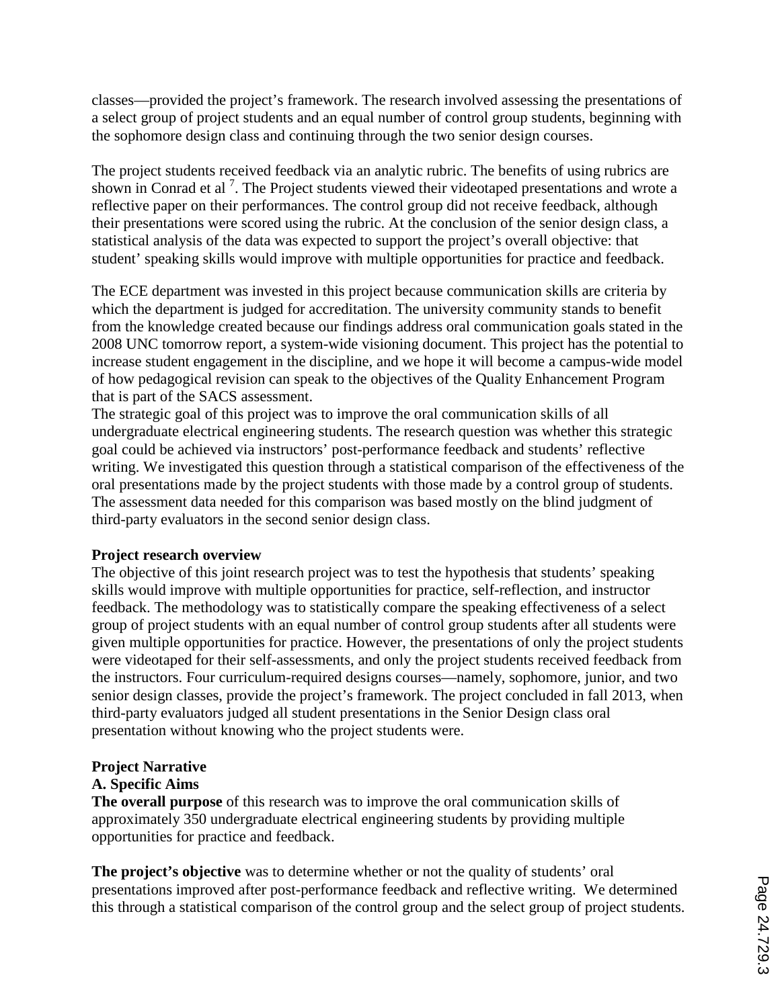classes—provided the project's framework. The research involved assessing the presentations of a select group of project students and an equal number of control group students, beginning with the sophomore design class and continuing through the two senior design courses.

The project students received feedback via an analytic rubric. The benefits of using rubrics are shown in Conrad et al<sup>7</sup>. The Project students viewed their videotaped presentations and wrote a reflective paper on their performances. The control group did not receive feedback, although their presentations were scored using the rubric. At the conclusion of the senior design class, a statistical analysis of the data was expected to support the project's overall objective: that student' speaking skills would improve with multiple opportunities for practice and feedback.

The ECE department was invested in this project because communication skills are criteria by which the department is judged for accreditation. The university community stands to benefit from the knowledge created because our findings address oral communication goals stated in the 2008 UNC tomorrow report, a system-wide visioning document. This project has the potential to increase student engagement in the discipline, and we hope it will become a campus-wide model of how pedagogical revision can speak to the objectives of the Quality Enhancement Program that is part of the SACS assessment.

The strategic goal of this project was to improve the oral communication skills of all undergraduate electrical engineering students. The research question was whether this strategic goal could be achieved via instructors' post-performance feedback and students' reflective writing. We investigated this question through a statistical comparison of the effectiveness of the oral presentations made by the project students with those made by a control group of students. The assessment data needed for this comparison was based mostly on the blind judgment of third-party evaluators in the second senior design class.

#### **Project research overview**

The objective of this joint research project was to test the hypothesis that students' speaking skills would improve with multiple opportunities for practice, self-reflection, and instructor feedback. The methodology was to statistically compare the speaking effectiveness of a select group of project students with an equal number of control group students after all students were given multiple opportunities for practice. However, the presentations of only the project students were videotaped for their self-assessments, and only the project students received feedback from the instructors. Four curriculum-required designs courses—namely, sophomore, junior, and two senior design classes, provide the project's framework. The project concluded in fall 2013, when third-party evaluators judged all student presentations in the Senior Design class oral presentation without knowing who the project students were.

## **Project Narrative**

#### **A. Specific Aims**

**The overall purpose** of this research was to improve the oral communication skills of approximately 350 undergraduate electrical engineering students by providing multiple opportunities for practice and feedback.

**The project's objective** was to determine whether or not the quality of students' oral presentations improved after post-performance feedback and reflective writing. We determined this through a statistical comparison of the control group and the select group of project students.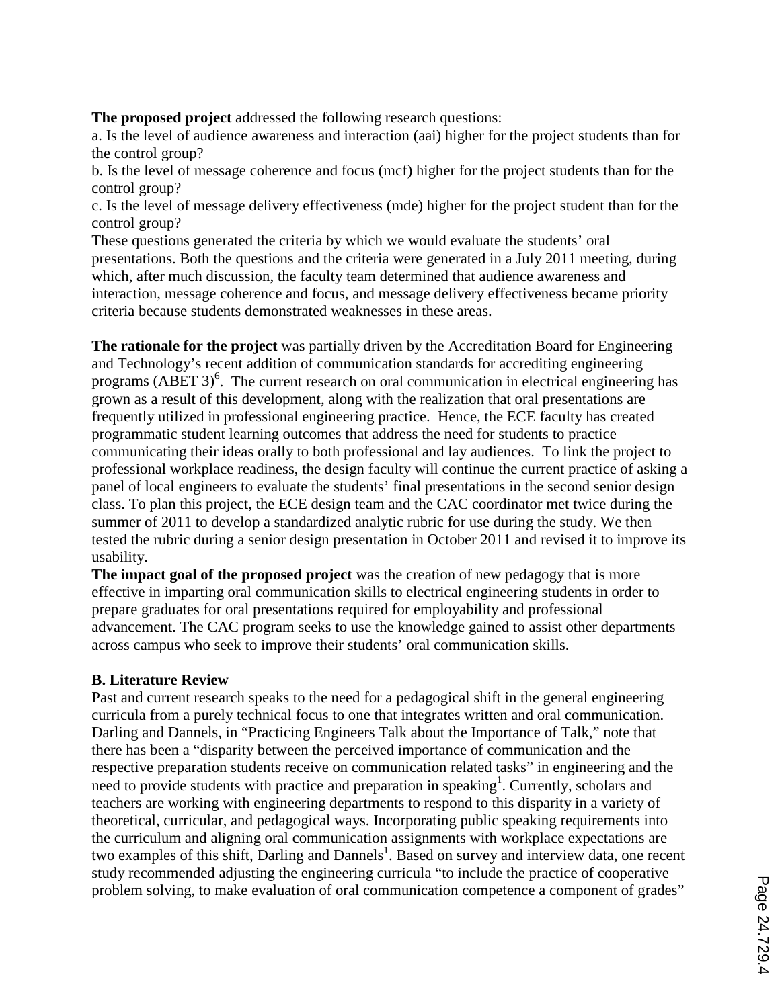**The proposed project** addressed the following research questions:

a. Is the level of audience awareness and interaction (aai) higher for the project students than for the control group?

b. Is the level of message coherence and focus (mcf) higher for the project students than for the control group?

c. Is the level of message delivery effectiveness (mde) higher for the project student than for the control group?

These questions generated the criteria by which we would evaluate the students' oral presentations. Both the questions and the criteria were generated in a July 2011 meeting, during which, after much discussion, the faculty team determined that audience awareness and interaction, message coherence and focus, and message delivery effectiveness became priority criteria because students demonstrated weaknesses in these areas.

**The rationale for the project** was partially driven by the Accreditation Board for Engineering and Technology's recent addition of communication standards for accrediting engineering programs (ABET  $3$ )<sup>6</sup>. The current research on oral communication in electrical engineering has grown as a result of this development, along with the realization that oral presentations are frequently utilized in professional engineering practice. Hence, the ECE faculty has created programmatic student learning outcomes that address the need for students to practice communicating their ideas orally to both professional and lay audiences. To link the project to professional workplace readiness, the design faculty will continue the current practice of asking a panel of local engineers to evaluate the students' final presentations in the second senior design class. To plan this project, the ECE design team and the CAC coordinator met twice during the summer of 2011 to develop a standardized analytic rubric for use during the study. We then tested the rubric during a senior design presentation in October 2011 and revised it to improve its usability.

**The impact goal of the proposed project** was the creation of new pedagogy that is more effective in imparting oral communication skills to electrical engineering students in order to prepare graduates for oral presentations required for employability and professional advancement. The CAC program seeks to use the knowledge gained to assist other departments across campus who seek to improve their students' oral communication skills.

#### **B. Literature Review**

Past and current research speaks to the need for a pedagogical shift in the general engineering curricula from a purely technical focus to one that integrates written and oral communication. Darling and Dannels, in "Practicing Engineers Talk about the Importance of Talk," note that there has been a "disparity between the perceived importance of communication and the respective preparation students receive on communication related tasks" in engineering and the need to provide students with practice and preparation in speaking<sup>1</sup>. Currently, scholars and teachers are working with engineering departments to respond to this disparity in a variety of theoretical, curricular, and pedagogical ways. Incorporating public speaking requirements into the curriculum and aligning oral communication assignments with workplace expectations are two examples of this shift, Darling and Dannels<sup>1</sup>. Based on survey and interview data, one recent study recommended adjusting the engineering curricula "to include the practice of cooperative problem solving, to make evaluation of oral communication competence a component of grades"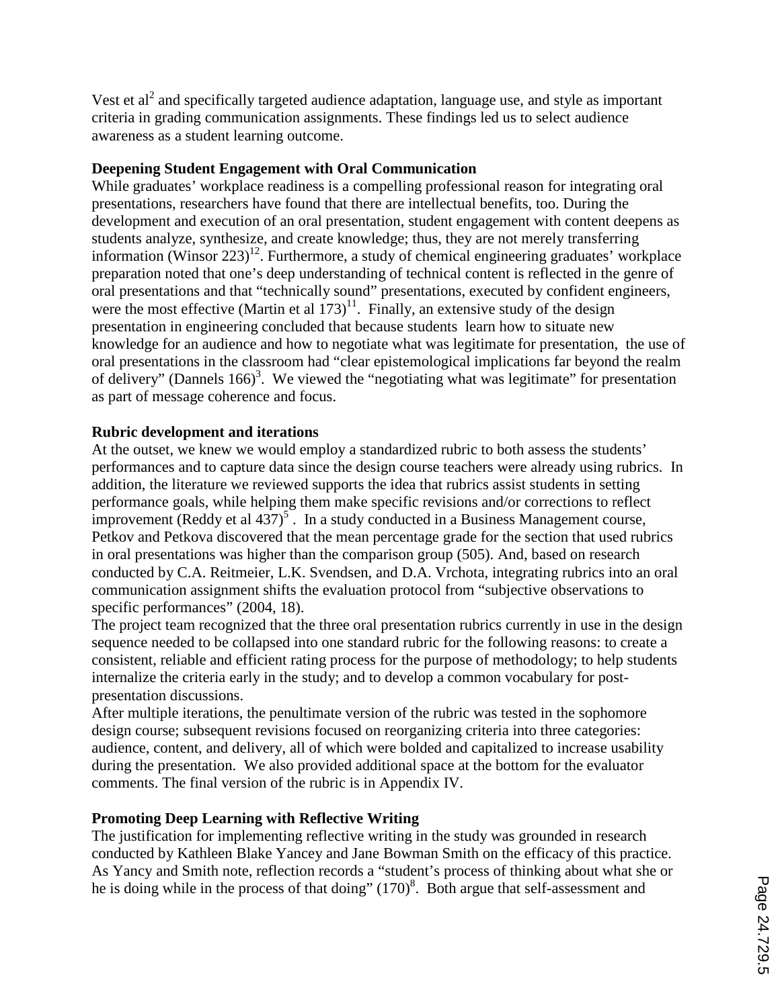Vest et  $al<sup>2</sup>$  and specifically targeted audience adaptation, language use, and style as important criteria in grading communication assignments. These findings led us to select audience awareness as a student learning outcome.

#### **Deepening Student Engagement with Oral Communication**

While graduates' workplace readiness is a compelling professional reason for integrating oral presentations, researchers have found that there are intellectual benefits, too. During the development and execution of an oral presentation, student engagement with content deepens as students analyze, synthesize, and create knowledge; thus, they are not merely transferring information (Winsor  $223$ )<sup>12</sup>. Furthermore, a study of chemical engineering graduates' workplace preparation noted that one's deep understanding of technical content is reflected in the genre of oral presentations and that "technically sound" presentations, executed by confident engineers, were the most effective (Martin et al  $173$ )<sup>11</sup>. Finally, an extensive study of the design presentation in engineering concluded that because students learn how to situate new knowledge for an audience and how to negotiate what was legitimate for presentation, the use of oral presentations in the classroom had "clear epistemological implications far beyond the realm of delivery" (Dannels  $166$ )<sup>3</sup>. We viewed the "negotiating what was legitimate" for presentation as part of message coherence and focus.

#### **Rubric development and iterations**

At the outset, we knew we would employ a standardized rubric to both assess the students' performances and to capture data since the design course teachers were already using rubrics. In addition, the literature we reviewed supports the idea that rubrics assist students in setting performance goals, while helping them make specific revisions and/or corrections to reflect improvement (Reddy et al  $437$ )<sup>5</sup>. In a study conducted in a Business Management course, Petkov and Petkova discovered that the mean percentage grade for the section that used rubrics in oral presentations was higher than the comparison group (505). And, based on research conducted by C.A. Reitmeier, L.K. Svendsen, and D.A. Vrchota, integrating rubrics into an oral communication assignment shifts the evaluation protocol from "subjective observations to specific performances" (2004, 18).

The project team recognized that the three oral presentation rubrics currently in use in the design sequence needed to be collapsed into one standard rubric for the following reasons: to create a consistent, reliable and efficient rating process for the purpose of methodology; to help students internalize the criteria early in the study; and to develop a common vocabulary for postpresentation discussions.

After multiple iterations, the penultimate version of the rubric was tested in the sophomore design course; subsequent revisions focused on reorganizing criteria into three categories: audience, content, and delivery, all of which were bolded and capitalized to increase usability during the presentation. We also provided additional space at the bottom for the evaluator comments. The final version of the rubric is in Appendix IV.

## **Promoting Deep Learning with Reflective Writing**

The justification for implementing reflective writing in the study was grounded in research conducted by Kathleen Blake Yancey and Jane Bowman Smith on the efficacy of this practice. As Yancy and Smith note, reflection records a "student's process of thinking about what she or he is doing while in the process of that doing" (170)<sup>8</sup>. Both argue that self-assessment and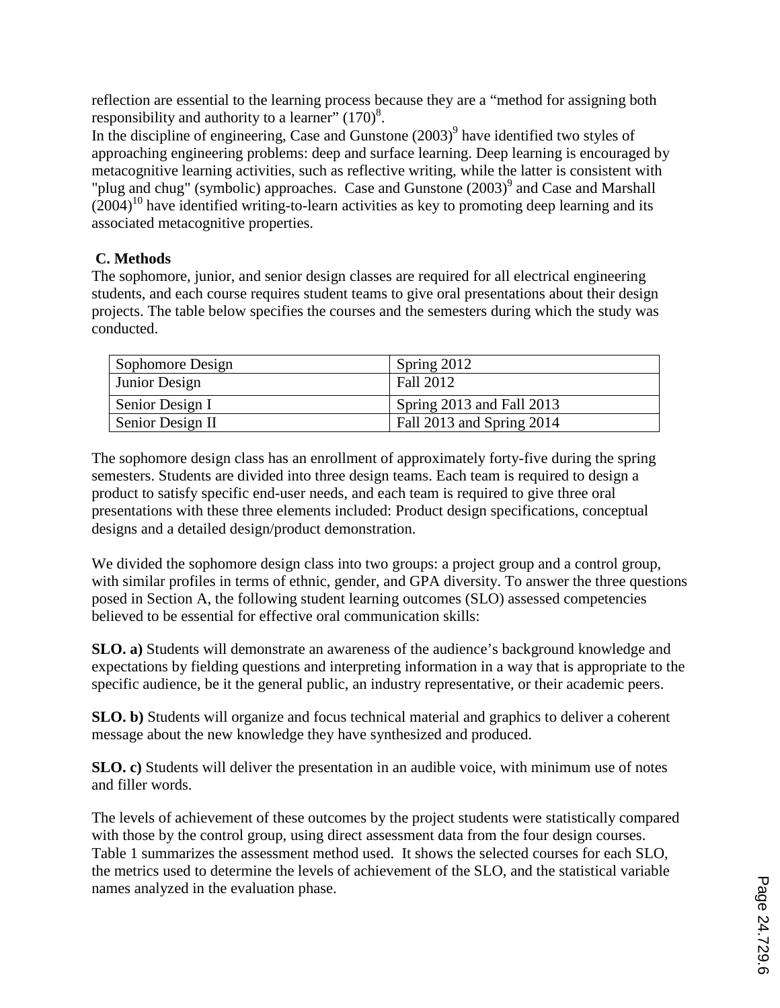reflection are essential to the learning process because they are a "method for assigning both responsibility and authority to a learner"  $(170)^8$ .

In the discipline of engineering, Case and Gunstone  $(2003)^9$  have identified two styles of approaching engineering problems: deep and surface learning. Deep learning is encouraged by metacognitive learning activities, such as reflective writing, while the latter is consistent with "plug and chug" (symbolic) approaches. Case and Gunstone  $(2003)^9$  and Case and Marshall  $(2004)^{10}$  have identified writing-to-learn activities as key to promoting deep learning and its associated metacognitive properties.

## **C. Methods**

The sophomore, junior, and senior design classes are required for all electrical engineering students, and each course requires student teams to give oral presentations about their design projects. The table below specifies the courses and the semesters during which the study was conducted.

| Sophomore Design | Spring 2012               |
|------------------|---------------------------|
| Junior Design    | Fall 2012                 |
| Senior Design I  | Spring 2013 and Fall 2013 |
| Senior Design II | Fall 2013 and Spring 2014 |

The sophomore design class has an enrollment of approximately forty-five during the spring semesters. Students are divided into three design teams. Each team is required to design a product to satisfy specific end-user needs, and each team is required to give three oral presentations with these three elements included: Product design specifications, conceptual designs and a detailed design/product demonstration.

We divided the sophomore design class into two groups: a project group and a control group, with similar profiles in terms of ethnic, gender, and GPA diversity. To answer the three questions posed in Section A, the following student learning outcomes (SLO) assessed competencies believed to be essential for effective oral communication skills:

**SLO. a)** Students will demonstrate an awareness of the audience's background knowledge and expectations by fielding questions and interpreting information in a way that is appropriate to the specific audience, be it the general public, an industry representative, or their academic peers.

**SLO. b)** Students will organize and focus technical material and graphics to deliver a coherent message about the new knowledge they have synthesized and produced.

**SLO. c)** Students will deliver the presentation in an audible voice, with minimum use of notes and filler words.

The levels of achievement of these outcomes by the project students were statistically compared with those by the control group, using direct assessment data from the four design courses. Table 1 summarizes the assessment method used. It shows the selected courses for each SLO, the metrics used to determine the levels of achievement of the SLO, and the statistical variable names analyzed in the evaluation phase.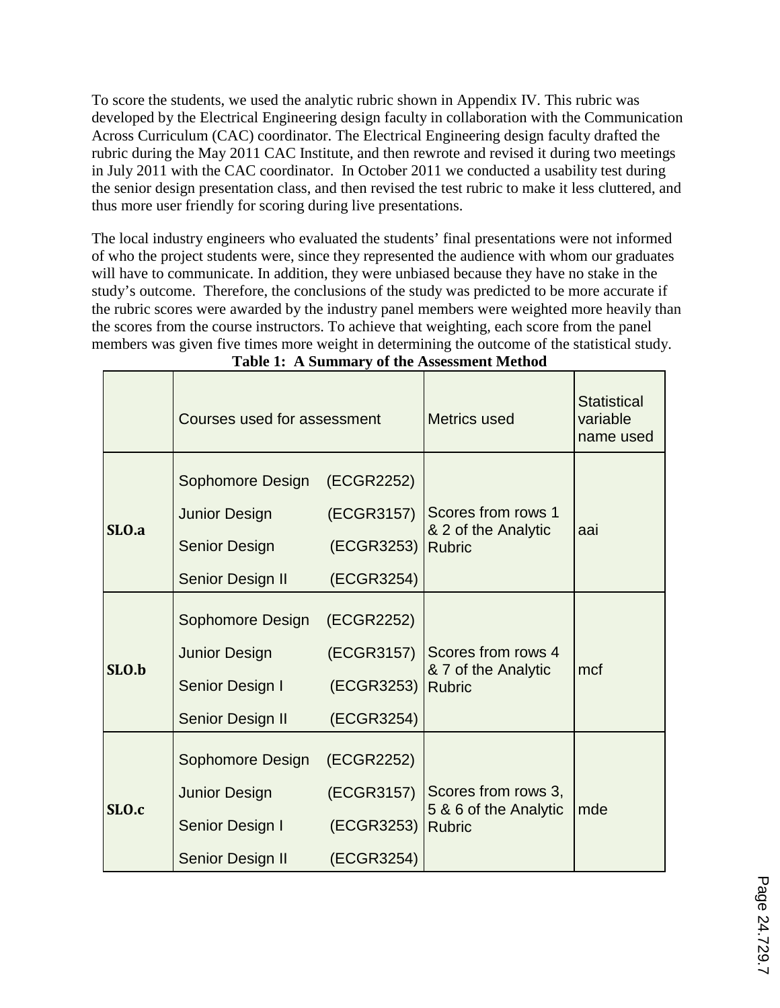To score the students, we used the analytic rubric shown in Appendix IV. This rubric was developed by the Electrical Engineering design faculty in collaboration with the Communication Across Curriculum (CAC) coordinator. The Electrical Engineering design faculty drafted the rubric during the May 2011 CAC Institute, and then rewrote and revised it during two meetings in July 2011 with the CAC coordinator. In October 2011 we conducted a usability test during the senior design presentation class, and then revised the test rubric to make it less cluttered, and thus more user friendly for scoring during live presentations.

The local industry engineers who evaluated the students' final presentations were not informed of who the project students were, since they represented the audience with whom our graduates will have to communicate. In addition, they were unbiased because they have no stake in the study's outcome. Therefore, the conclusions of the study was predicted to be more accurate if the rubric scores were awarded by the industry panel members were weighted more heavily than the scores from the course instructors. To achieve that weighting, each score from the panel members was given five times more weight in determining the outcome of the statistical study.

|       | Courses used for assessment |            | <b>Metrics used</b>                  | <b>Statistical</b><br>variable<br>name used |  |
|-------|-----------------------------|------------|--------------------------------------|---------------------------------------------|--|
|       | Sophomore Design            | (ECGR2252) |                                      |                                             |  |
|       | <b>Junior Design</b>        | (ECGR3157) | Scores from rows 1                   |                                             |  |
| SLO.a | <b>Senior Design</b>        | (ECGR3253) | & 2 of the Analytic<br><b>Rubric</b> | aai                                         |  |
|       | Senior Design II            | (ECGR3254) |                                      |                                             |  |
|       | Sophomore Design            | (ECGR2252) |                                      |                                             |  |
|       | <b>Junior Design</b>        | (ECGR3157) | Scores from rows 4                   | mcf                                         |  |
| SLO.b | Senior Design I             | (ECGR3253) | & 7 of the Analytic<br><b>Rubric</b> |                                             |  |
|       | Senior Design II            | (ECGR3254) |                                      |                                             |  |
|       | Sophomore Design            | (ECGR2252) |                                      |                                             |  |
| SLO.c | <b>Junior Design</b>        | (ECGR3157) | Scores from rows 3,                  |                                             |  |
|       |                             |            | 5 & 6 of the Analytic                | mde                                         |  |
|       | Senior Design I             | (ECGR3253) | <b>Rubric</b>                        |                                             |  |
|       | Senior Design II            | (ECGR3254) |                                      |                                             |  |

| Table 1: A Summary of the Assessment Method |  |  |
|---------------------------------------------|--|--|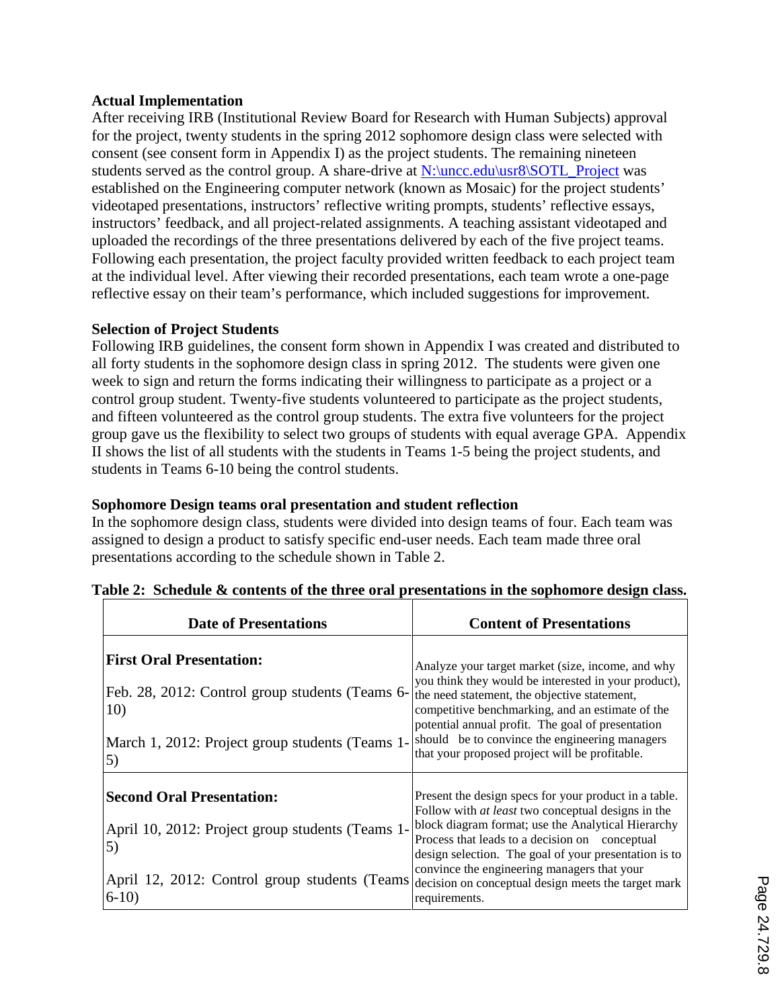#### **Actual Implementation**

After receiving IRB (Institutional Review Board for Research with Human Subjects) approval for the project, twenty students in the spring 2012 sophomore design class were selected with consent (see consent form in Appendix I) as the project students. The remaining nineteen students served as the control group. A share-drive at N:\uncc.edu\usr8\SOTL Project was established on the Engineering computer network (known as Mosaic) for the project students' videotaped presentations, instructors' reflective writing prompts, students' reflective essays, instructors' feedback, and all project-related assignments. A teaching assistant videotaped and uploaded the recordings of the three presentations delivered by each of the five project teams. Following each presentation, the project faculty provided written feedback to each project team at the individual level. After viewing their recorded presentations, each team wrote a one-page reflective essay on their team's performance, which included suggestions for improvement.

#### **Selection of Project Students**

Following IRB guidelines, the consent form shown in Appendix I was created and distributed to all forty students in the sophomore design class in spring 2012. The students were given one week to sign and return the forms indicating their willingness to participate as a project or a control group student. Twenty-five students volunteered to participate as the project students, and fifteen volunteered as the control group students. The extra five volunteers for the project group gave us the flexibility to select two groups of students with equal average GPA. Appendix II shows the list of all students with the students in Teams 1-5 being the project students, and students in Teams 6-10 being the control students.

#### **Sophomore Design teams oral presentation and student reflection**

In the sophomore design class, students were divided into design teams of four. Each team was assigned to design a product to satisfy specific end-user needs. Each team made three oral presentations according to the schedule shown in Table 2.

| <b>Date of Presentations</b>                                                                                                                       | <b>Content of Presentations</b>                                                                                                                                                                                                                                                                                                                                        |
|----------------------------------------------------------------------------------------------------------------------------------------------------|------------------------------------------------------------------------------------------------------------------------------------------------------------------------------------------------------------------------------------------------------------------------------------------------------------------------------------------------------------------------|
| <b>First Oral Presentation:</b><br>Feb. 28, 2012: Control group students (Teams 6-<br>10)<br>March 1, 2012: Project group students (Teams 1-<br>5) | Analyze your target market (size, income, and why<br>you think they would be interested in your product),<br>the need statement, the objective statement,<br>competitive benchmarking, and an estimate of the<br>potential annual profit. The goal of presentation<br>should be to convince the engineering managers<br>that your proposed project will be profitable. |
| <b>Second Oral Presentation:</b><br>April 10, 2012: Project group students (Teams 1-<br>5)                                                         | Present the design specs for your product in a table.<br>Follow with at least two conceptual designs in the<br>block diagram format; use the Analytical Hierarchy<br>Process that leads to a decision on conceptual<br>design selection. The goal of your presentation is to                                                                                           |
| April 12, 2012: Control group students (Teams decision on conceptual design meets the target mark<br>$6-10$                                        | convince the engineering managers that your<br>requirements.                                                                                                                                                                                                                                                                                                           |

#### **Table 2: Schedule & contents of the three oral presentations in the sophomore design class.**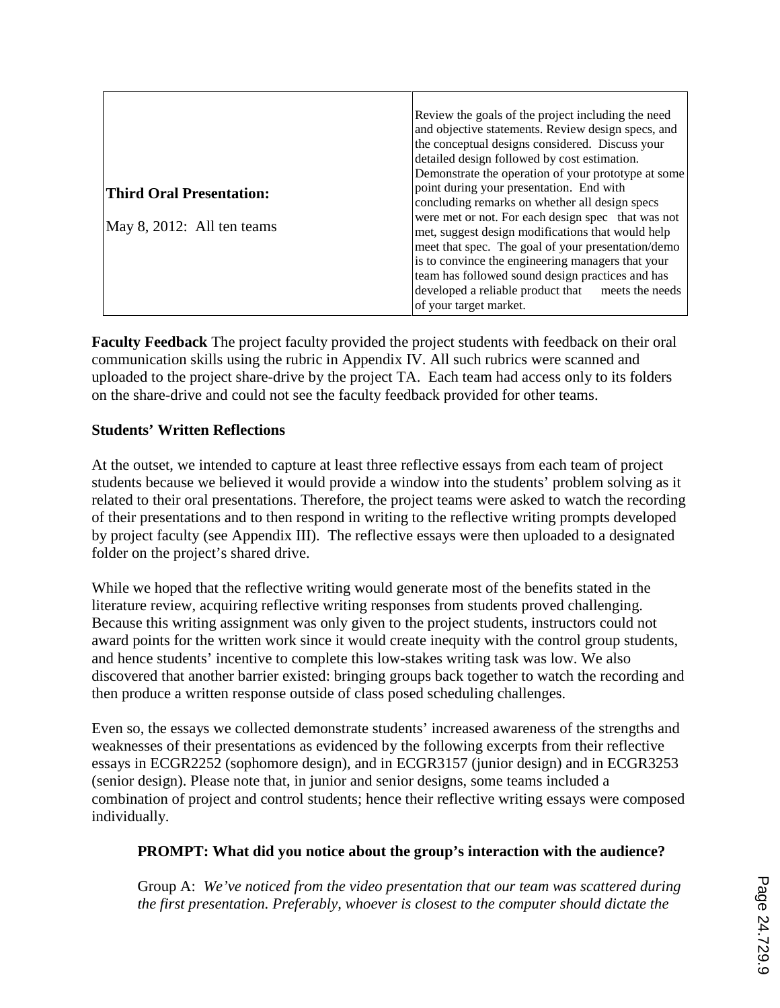|                                 | Review the goals of the project including the need  |  |  |  |  |
|---------------------------------|-----------------------------------------------------|--|--|--|--|
|                                 | and objective statements. Review design specs, and  |  |  |  |  |
|                                 | the conceptual designs considered. Discuss your     |  |  |  |  |
|                                 | detailed design followed by cost estimation.        |  |  |  |  |
|                                 | Demonstrate the operation of your prototype at some |  |  |  |  |
| <b>Third Oral Presentation:</b> | point during your presentation. End with            |  |  |  |  |
|                                 | concluding remarks on whether all design specs      |  |  |  |  |
|                                 | were met or not. For each design spec that was not  |  |  |  |  |
| May 8, 2012: All ten teams      | met, suggest design modifications that would help   |  |  |  |  |
|                                 | meet that spec. The goal of your presentation/demo  |  |  |  |  |
|                                 | is to convince the engineering managers that your   |  |  |  |  |
|                                 | team has followed sound design practices and has    |  |  |  |  |
|                                 | developed a reliable product that meets the needs   |  |  |  |  |
|                                 | of your target market.                              |  |  |  |  |

**Faculty Feedback** The project faculty provided the project students with feedback on their oral communication skills using the rubric in Appendix IV. All such rubrics were scanned and uploaded to the project share-drive by the project TA. Each team had access only to its folders on the share-drive and could not see the faculty feedback provided for other teams.

#### **Students' Written Reflections**

At the outset, we intended to capture at least three reflective essays from each team of project students because we believed it would provide a window into the students' problem solving as it related to their oral presentations. Therefore, the project teams were asked to watch the recording of their presentations and to then respond in writing to the reflective writing prompts developed by project faculty (see Appendix III). The reflective essays were then uploaded to a designated folder on the project's shared drive.

While we hoped that the reflective writing would generate most of the benefits stated in the literature review, acquiring reflective writing responses from students proved challenging. Because this writing assignment was only given to the project students, instructors could not award points for the written work since it would create inequity with the control group students, and hence students' incentive to complete this low-stakes writing task was low. We also discovered that another barrier existed: bringing groups back together to watch the recording and then produce a written response outside of class posed scheduling challenges.

Even so, the essays we collected demonstrate students' increased awareness of the strengths and weaknesses of their presentations as evidenced by the following excerpts from their reflective essays in ECGR2252 (sophomore design), and in ECGR3157 (junior design) and in ECGR3253 (senior design). Please note that, in junior and senior designs, some teams included a combination of project and control students; hence their reflective writing essays were composed individually.

#### **PROMPT: What did you notice about the group's interaction with the audience?**

Group A: *We've noticed from the video presentation that our team was scattered during the first presentation. Preferably, whoever is closest to the computer should dictate the*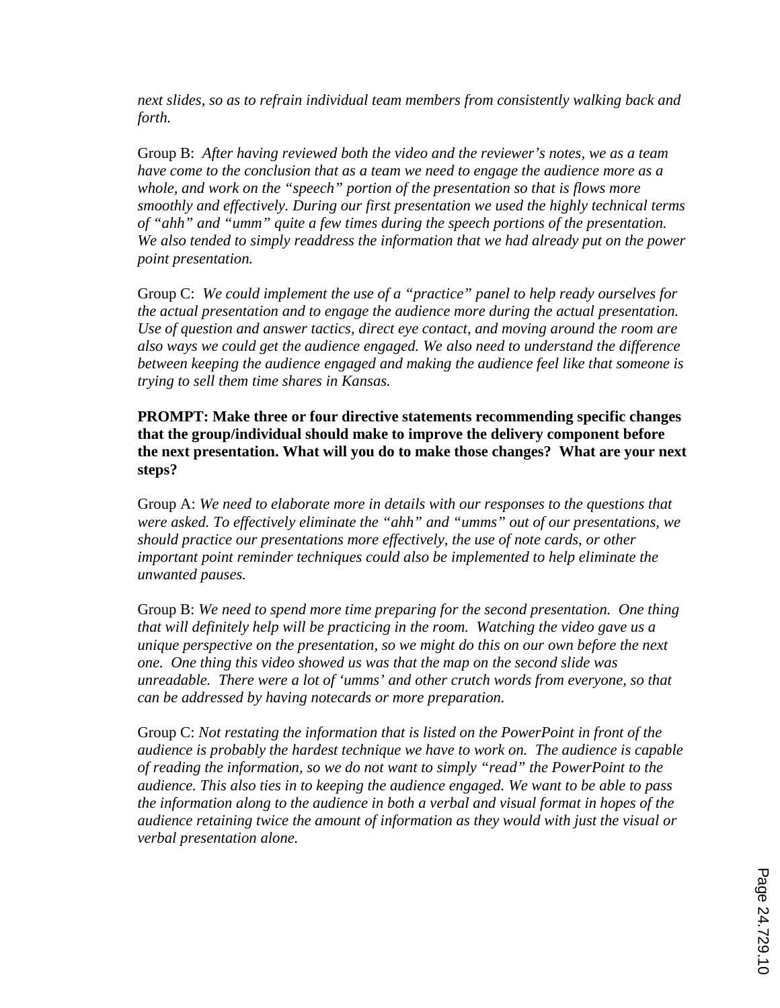*next slides, so as to refrain individual team members from consistently walking back and forth.* 

Group B: *After having reviewed both the video and the reviewer's notes, we as a team have come to the conclusion that as a team we need to engage the audience more as a whole, and work on the "speech" portion of the presentation so that is flows more smoothly and effectively. During our first presentation we used the highly technical terms of "ahh" and "umm" quite a few times during the speech portions of the presentation. We also tended to simply readdress the information that we had already put on the power point presentation.* 

Group C: *We could implement the use of a "practice" panel to help ready ourselves for the actual presentation and to engage the audience more during the actual presentation. Use of question and answer tactics, direct eye contact, and moving around the room are also ways we could get the audience engaged. We also need to understand the difference between keeping the audience engaged and making the audience feel like that someone is trying to sell them time shares in Kansas.* 

**PROMPT: Make three or four directive statements recommending specific changes that the group/individual should make to improve the delivery component before the next presentation. What will you do to make those changes? What are your next steps?** 

Group A: *We need to elaborate more in details with our responses to the questions that were asked. To effectively eliminate the "ahh" and "umms" out of our presentations, we should practice our presentations more effectively, the use of note cards, or other important point reminder techniques could also be implemented to help eliminate the unwanted pauses.*

Group B: *We need to spend more time preparing for the second presentation. One thing that will definitely help will be practicing in the room. Watching the video gave us a unique perspective on the presentation, so we might do this on our own before the next one. One thing this video showed us was that the map on the second slide was unreadable. There were a lot of 'umms' and other crutch words from everyone, so that can be addressed by having notecards or more preparation.* 

Group C: *Not restating the information that is listed on the PowerPoint in front of the audience is probably the hardest technique we have to work on. The audience is capable of reading the information, so we do not want to simply "read" the PowerPoint to the audience. This also ties in to keeping the audience engaged. We want to be able to pass the information along to the audience in both a verbal and visual format in hopes of the audience retaining twice the amount of information as they would with just the visual or verbal presentation alone.*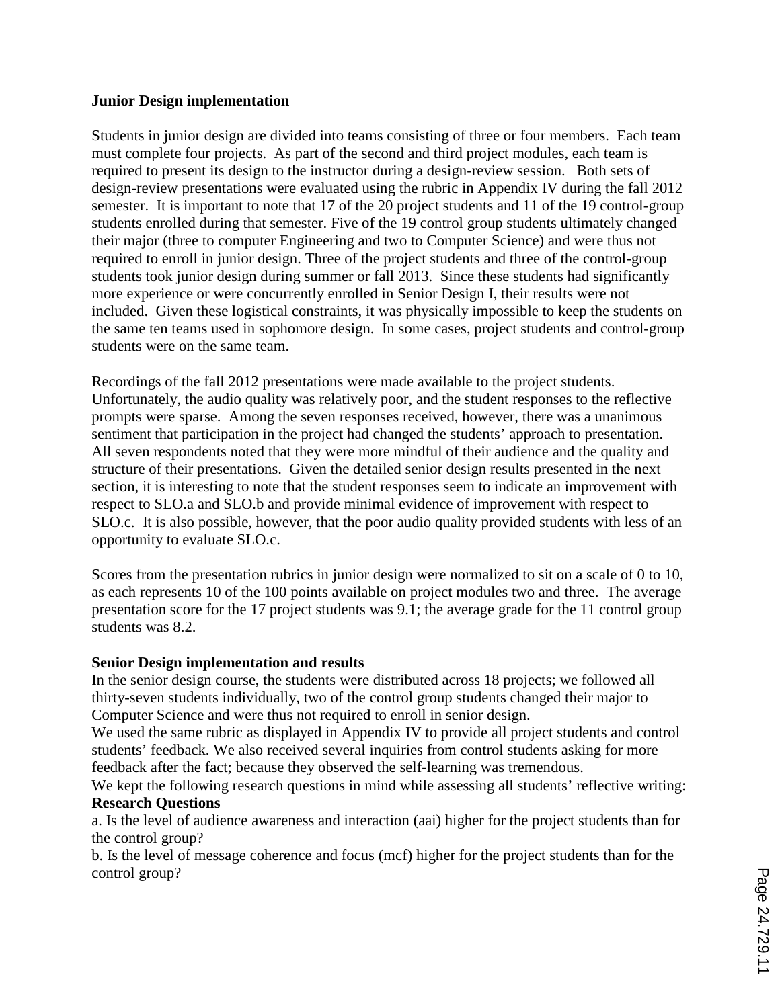#### **Junior Design implementation**

Students in junior design are divided into teams consisting of three or four members. Each team must complete four projects. As part of the second and third project modules, each team is required to present its design to the instructor during a design-review session. Both sets of design-review presentations were evaluated using the rubric in Appendix IV during the fall 2012 semester. It is important to note that 17 of the 20 project students and 11 of the 19 control-group students enrolled during that semester. Five of the 19 control group students ultimately changed their major (three to computer Engineering and two to Computer Science) and were thus not required to enroll in junior design. Three of the project students and three of the control-group students took junior design during summer or fall 2013. Since these students had significantly more experience or were concurrently enrolled in Senior Design I, their results were not included. Given these logistical constraints, it was physically impossible to keep the students on the same ten teams used in sophomore design. In some cases, project students and control-group students were on the same team.

Recordings of the fall 2012 presentations were made available to the project students. Unfortunately, the audio quality was relatively poor, and the student responses to the reflective prompts were sparse. Among the seven responses received, however, there was a unanimous sentiment that participation in the project had changed the students' approach to presentation. All seven respondents noted that they were more mindful of their audience and the quality and structure of their presentations. Given the detailed senior design results presented in the next section, it is interesting to note that the student responses seem to indicate an improvement with respect to SLO.a and SLO.b and provide minimal evidence of improvement with respect to SLO.c. It is also possible, however, that the poor audio quality provided students with less of an opportunity to evaluate SLO.c.

Scores from the presentation rubrics in junior design were normalized to sit on a scale of 0 to 10, as each represents 10 of the 100 points available on project modules two and three. The average presentation score for the 17 project students was 9.1; the average grade for the 11 control group students was 8.2.

#### **Senior Design implementation and results**

In the senior design course, the students were distributed across 18 projects; we followed all thirty-seven students individually, two of the control group students changed their major to Computer Science and were thus not required to enroll in senior design.

We used the same rubric as displayed in Appendix IV to provide all project students and control students' feedback. We also received several inquiries from control students asking for more feedback after the fact; because they observed the self-learning was tremendous.

We kept the following research questions in mind while assessing all students' reflective writing: **Research Questions**

a. Is the level of audience awareness and interaction (aai) higher for the project students than for the control group?

b. Is the level of message coherence and focus (mcf) higher for the project students than for the control group?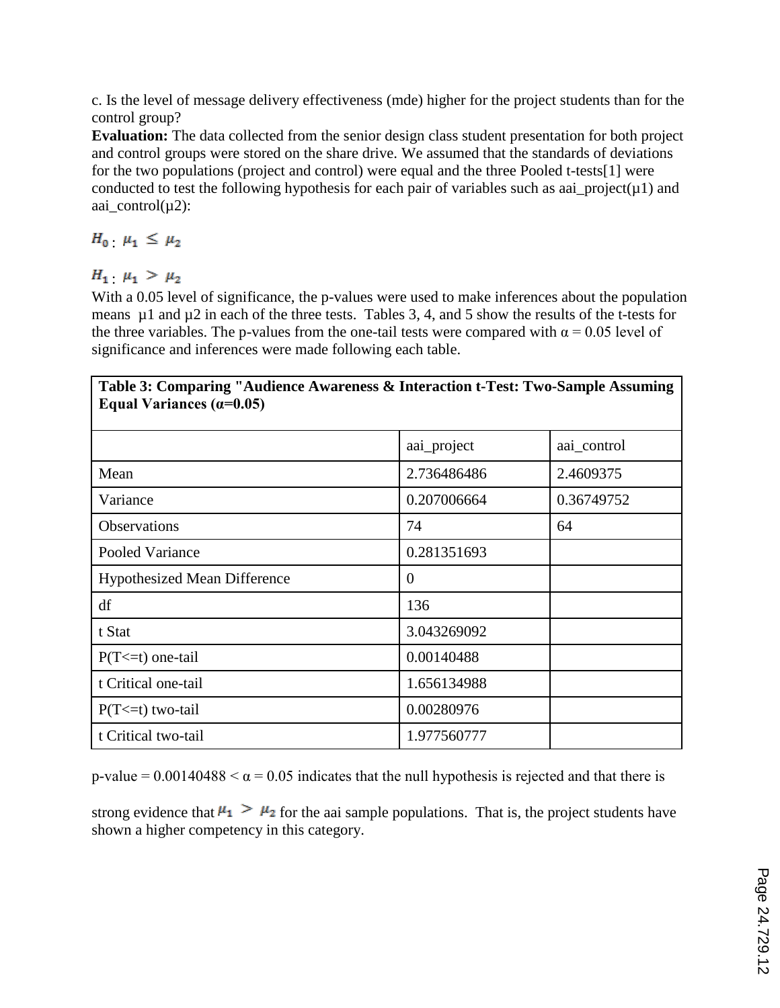c. Is the level of message delivery effectiveness (mde) higher for the project students than for the control group?

**Evaluation:** The data collected from the senior design class student presentation for both project and control groups were stored on the share drive. We assumed that the standards of deviations for the two populations (project and control) were equal and the three Pooled t-tests[1] were conducted to test the following hypothesis for each pair of variables such as aai\_project( $\mu$ 1) and aai control $(\mu 2)$ :

 $H_0$   $\mu_1 \leq \mu_2$ 

 $H_1$   $\mu_1 > \mu_2$ 

With a 0.05 level of significance, the p-values were used to make inferences about the population means  $\mu$ 1 and  $\mu$ 2 in each of the three tests. Tables 3, 4, and 5 show the results of the t-tests for the three variables. The p-values from the one-tail tests were compared with  $\alpha = 0.05$  level of significance and inferences were made following each table.

| Table 3: Comparing "Audience Awareness & Interaction t-Test: Two-Sample Assuming<br>Equal Variances $(\alpha=0.05)$ |             |             |  |  |  |  |
|---------------------------------------------------------------------------------------------------------------------|-------------|-------------|--|--|--|--|
|                                                                                                                     | aai_project | aai_control |  |  |  |  |
| Mean                                                                                                                | 2.736486486 | 2.4609375   |  |  |  |  |
| Variance                                                                                                            | 0.207006664 | 0.36749752  |  |  |  |  |
| Observations                                                                                                        | 74          | 64          |  |  |  |  |
| Pooled Variance                                                                                                     | 0.281351693 |             |  |  |  |  |
| <b>Hypothesized Mean Difference</b>                                                                                 | $\theta$    |             |  |  |  |  |
| df                                                                                                                  | 136         |             |  |  |  |  |
| t Stat                                                                                                              | 3.043269092 |             |  |  |  |  |
| $P(T \le t)$ one-tail                                                                                               | 0.00140488  |             |  |  |  |  |
| t Critical one-tail                                                                                                 | 1.656134988 |             |  |  |  |  |
| $P(T \le t)$ two-tail                                                                                               | 0.00280976  |             |  |  |  |  |
| t Critical two-tail                                                                                                 | 1.977560777 |             |  |  |  |  |

p-value =  $0.00140488 < \alpha$  = 0.05 indicates that the null hypothesis is rejected and that there is

strong evidence that  $\mu_1 > \mu_2$  for the aai sample populations. That is, the project students have shown a higher competency in this category.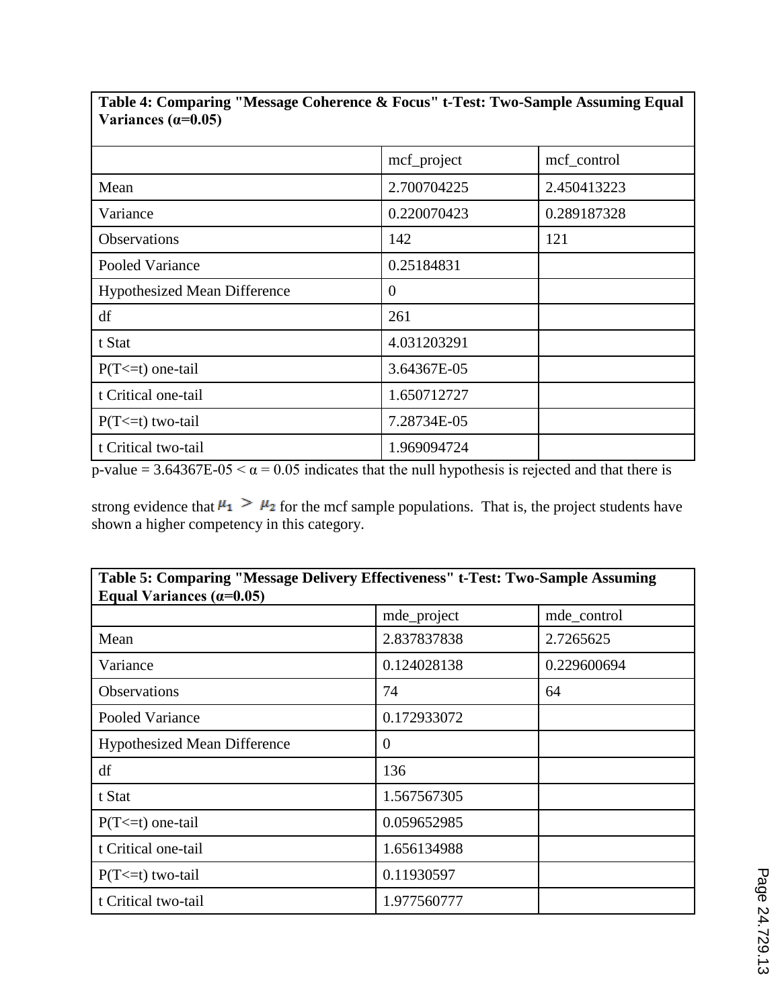|                                     | mcf_project | mcf_control |
|-------------------------------------|-------------|-------------|
| Mean                                | 2.700704225 | 2.450413223 |
| Variance                            | 0.220070423 | 0.289187328 |
| Observations                        | 142         | 121         |
| Pooled Variance                     | 0.25184831  |             |
| <b>Hypothesized Mean Difference</b> | $\theta$    |             |
| df                                  | 261         |             |
| t Stat                              | 4.031203291 |             |
| $P(T \le t)$ one-tail               | 3.64367E-05 |             |
| t Critical one-tail                 | 1.650712727 |             |
| $P(T \le t)$ two-tail               | 7.28734E-05 |             |
| t Critical two-tail                 | 1.969094724 |             |

**Table 4: Comparing "Message Coherence & Focus" t-Test: Two-Sample Assuming Equal**   $\sqrt{\text{Variances} (a=0.05)}$ 

p-value =  $3.64367E-05 < \alpha = 0.05$  indicates that the null hypothesis is rejected and that there is

strong evidence that  $\mu_1 > \mu_2$  for the mcf sample populations. That is, the project students have shown a higher competency in this category.

| Table 5: Comparing "Message Delivery Effectiveness" t-Test: Two-Sample Assuming<br>Equal Variances $(\alpha=0.05)$ |             |             |  |  |  |  |
|--------------------------------------------------------------------------------------------------------------------|-------------|-------------|--|--|--|--|
|                                                                                                                    | mde_project | mde_control |  |  |  |  |
| Mean                                                                                                               | 2.837837838 | 2.7265625   |  |  |  |  |
| Variance                                                                                                           | 0.124028138 | 0.229600694 |  |  |  |  |
| Observations                                                                                                       | 74          | 64          |  |  |  |  |
| Pooled Variance                                                                                                    | 0.172933072 |             |  |  |  |  |
| <b>Hypothesized Mean Difference</b>                                                                                | $\Omega$    |             |  |  |  |  |
| df                                                                                                                 | 136         |             |  |  |  |  |
| t Stat                                                                                                             | 1.567567305 |             |  |  |  |  |
| $P(T \le t)$ one-tail                                                                                              | 0.059652985 |             |  |  |  |  |
| t Critical one-tail                                                                                                | 1.656134988 |             |  |  |  |  |
| $P(T \le t)$ two-tail                                                                                              | 0.11930597  |             |  |  |  |  |
| t Critical two-tail                                                                                                | 1.977560777 |             |  |  |  |  |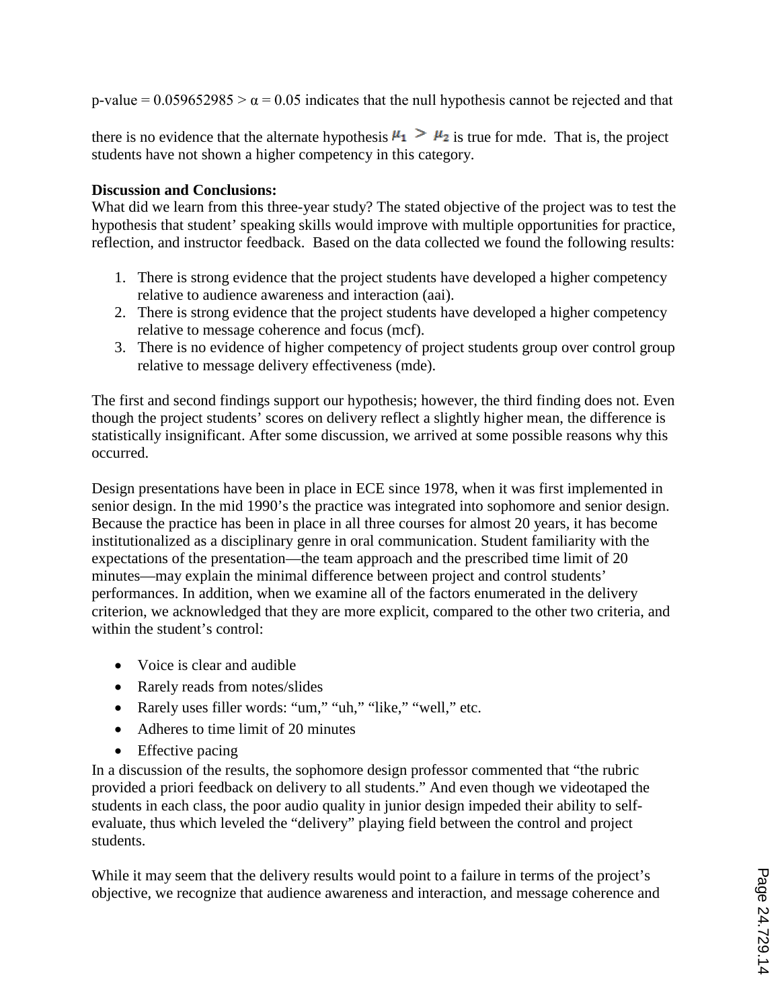p-value =  $0.059652985 > \alpha$  = 0.05 indicates that the null hypothesis cannot be rejected and that

there is no evidence that the alternate hypothesis  $\mu_1 > \mu_2$  is true for mde. That is, the project students have not shown a higher competency in this category.

#### **Discussion and Conclusions:**

What did we learn from this three-year study? The stated objective of the project was to test the hypothesis that student' speaking skills would improve with multiple opportunities for practice, reflection, and instructor feedback.Based on the data collected we found the following results:

- 1. There is strong evidence that the project students have developed a higher competency relative to audience awareness and interaction (aai).
- 2. There is strong evidence that the project students have developed a higher competency relative to message coherence and focus (mcf).
- 3. There is no evidence of higher competency of project students group over control group relative to message delivery effectiveness (mde).

The first and second findings support our hypothesis; however, the third finding does not. Even though the project students' scores on delivery reflect a slightly higher mean, the difference is statistically insignificant. After some discussion, we arrived at some possible reasons why this occurred.

Design presentations have been in place in ECE since 1978, when it was first implemented in senior design. In the mid 1990's the practice was integrated into sophomore and senior design. Because the practice has been in place in all three courses for almost 20 years, it has become institutionalized as a disciplinary genre in oral communication. Student familiarity with the expectations of the presentation—the team approach and the prescribed time limit of 20 minutes—may explain the minimal difference between project and control students' performances. In addition, when we examine all of the factors enumerated in the delivery criterion, we acknowledged that they are more explicit, compared to the other two criteria, and within the student's control:

- Voice is clear and audible
- Rarely reads from notes/slides
- Rarely uses filler words: "um," "uh," "like," "well," etc.
- Adheres to time limit of 20 minutes
- Effective pacing

In a discussion of the results, the sophomore design professor commented that "the rubric provided a priori feedback on delivery to all students." And even though we videotaped the students in each class, the poor audio quality in junior design impeded their ability to selfevaluate, thus which leveled the "delivery" playing field between the control and project students.

While it may seem that the delivery results would point to a failure in terms of the project's objective, we recognize that audience awareness and interaction, and message coherence and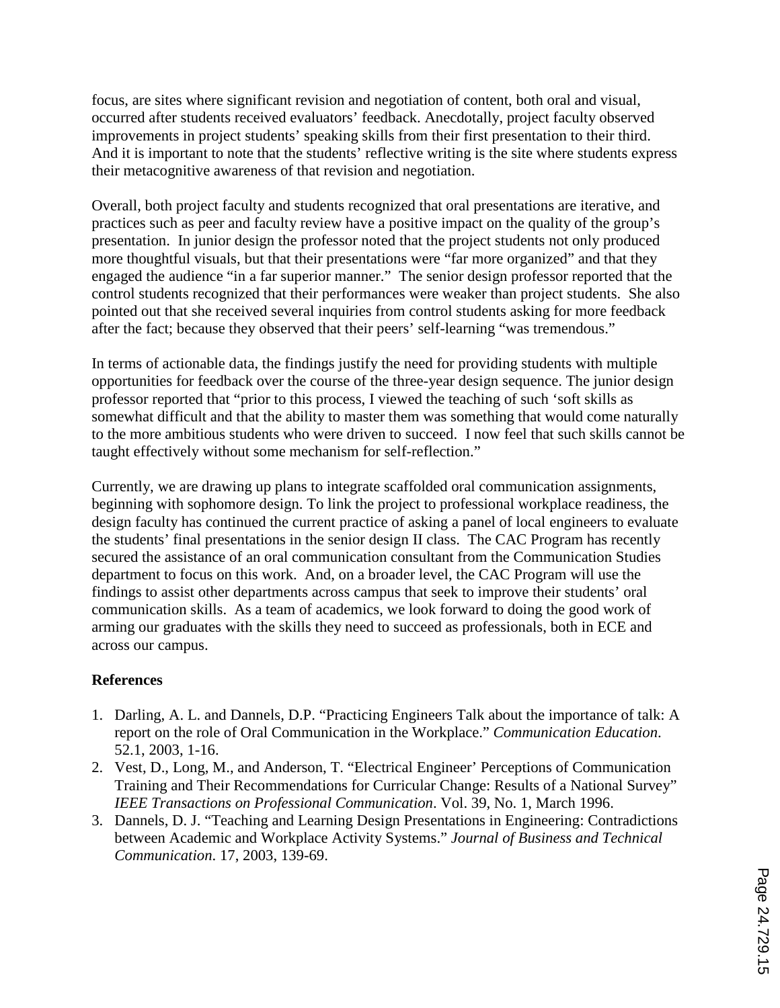focus, are sites where significant revision and negotiation of content, both oral and visual, occurred after students received evaluators' feedback. Anecdotally, project faculty observed improvements in project students' speaking skills from their first presentation to their third. And it is important to note that the students' reflective writing is the site where students express their metacognitive awareness of that revision and negotiation.

Overall, both project faculty and students recognized that oral presentations are iterative, and practices such as peer and faculty review have a positive impact on the quality of the group's presentation. In junior design the professor noted that the project students not only produced more thoughtful visuals, but that their presentations were "far more organized" and that they engaged the audience "in a far superior manner." The senior design professor reported that the control students recognized that their performances were weaker than project students. She also pointed out that she received several inquiries from control students asking for more feedback after the fact; because they observed that their peers' self-learning "was tremendous."

In terms of actionable data, the findings justify the need for providing students with multiple opportunities for feedback over the course of the three-year design sequence. The junior design professor reported that "prior to this process, I viewed the teaching of such 'soft skills as somewhat difficult and that the ability to master them was something that would come naturally to the more ambitious students who were driven to succeed. I now feel that such skills cannot be taught effectively without some mechanism for self-reflection."

Currently, we are drawing up plans to integrate scaffolded oral communication assignments, beginning with sophomore design. To link the project to professional workplace readiness, the design faculty has continued the current practice of asking a panel of local engineers to evaluate the students' final presentations in the senior design II class. The CAC Program has recently secured the assistance of an oral communication consultant from the Communication Studies department to focus on this work. And, on a broader level, the CAC Program will use the findings to assist other departments across campus that seek to improve their students' oral communication skills. As a team of academics, we look forward to doing the good work of arming our graduates with the skills they need to succeed as professionals, both in ECE and across our campus.

#### **References**

- 1. Darling, A. L. and Dannels, D.P. "Practicing Engineers Talk about the importance of talk: A report on the role of Oral Communication in the Workplace." *Communication Education*. 52.1, 2003, 1-16.
- 2. Vest, D., Long, M., and Anderson, T. "Electrical Engineer' Perceptions of Communication Training and Their Recommendations for Curricular Change: Results of a National Survey" *IEEE Transactions on Professional Communication*. Vol. 39, No. 1, March 1996.
- 3. Dannels, D. J. "Teaching and Learning Design Presentations in Engineering: Contradictions between Academic and Workplace Activity Systems." *Journal of Business and Technical Communication*. 17, 2003, 139-69.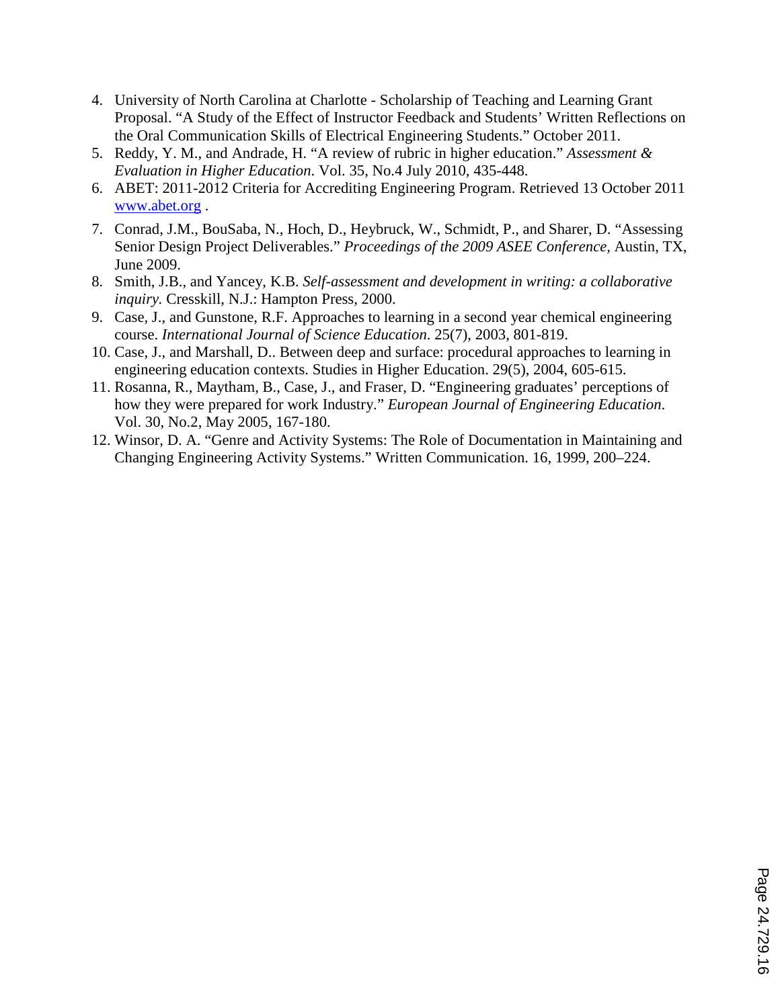- 4. University of North Carolina at Charlotte Scholarship of Teaching and Learning Grant Proposal. "A Study of the Effect of Instructor Feedback and Students' Written Reflections on the Oral Communication Skills of Electrical Engineering Students." October 2011.
- 5. Reddy, Y. M., and Andrade, H. "A review of rubric in higher education." *Assessment & Evaluation in Higher Education*. Vol. 35, No.4 July 2010, 435-448.
- 6. ABET: 2011-2012 Criteria for Accrediting Engineering Program. Retrieved 13 October 2011 www.abet.org .
- 7. Conrad, J.M., BouSaba, N., Hoch, D., Heybruck, W., Schmidt, P., and Sharer, D. "Assessing Senior Design Project Deliverables." *Proceedings of the 2009 ASEE Conference,* Austin, TX, June 2009.
- 8. Smith, J.B., and Yancey, K.B. *Self-assessment and development in writing: a collaborative inquiry.* Cresskill, N.J.: Hampton Press, 2000.
- 9. Case, J., and Gunstone, R.F. Approaches to learning in a second year chemical engineering course. *International Journal of Science Education*. 25(7), 2003, 801-819.
- 10. Case, J., and Marshall, D.. Between deep and surface: procedural approaches to learning in engineering education contexts. Studies in Higher Education. 29(5), 2004, 605-615.
- 11. Rosanna, R., Maytham, B., Case, J., and Fraser, D. "Engineering graduates' perceptions of how they were prepared for work Industry." *European Journal of Engineering Education*. Vol. 30, No.2, May 2005, 167-180.
- 12. Winsor, D. A. "Genre and Activity Systems: The Role of Documentation in Maintaining and Changing Engineering Activity Systems." Written Communication. 16, 1999, 200–224.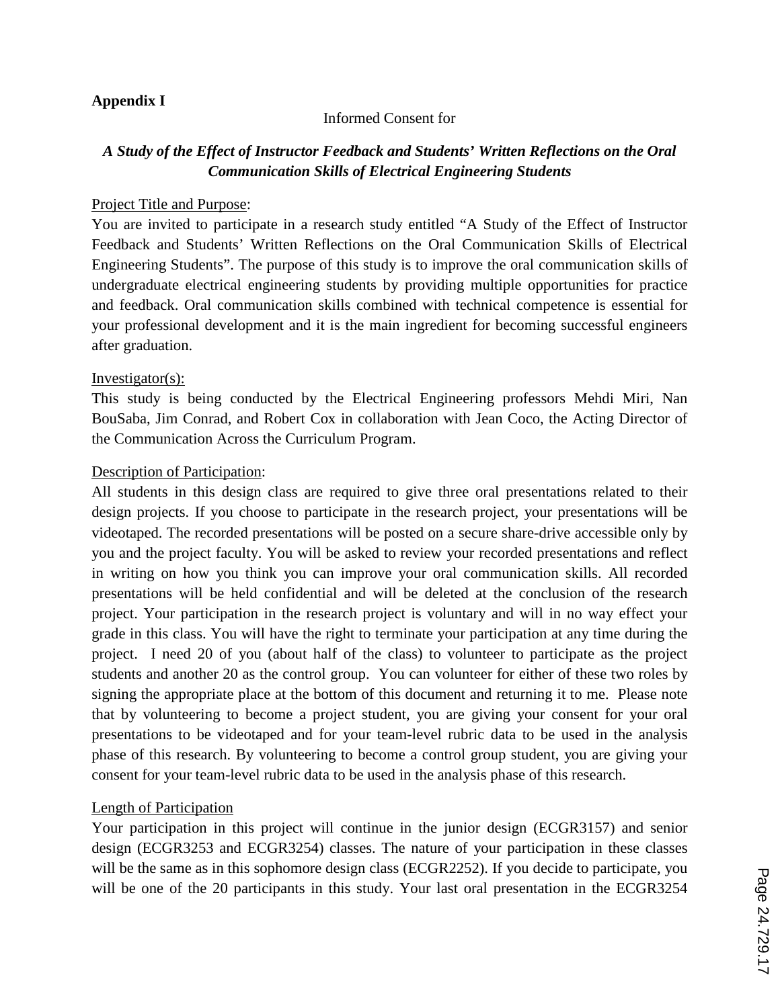#### **Appendix I**

#### Informed Consent for

#### *A Study of the Effect of Instructor Feedback and Students' Written Reflections on the Oral Communication Skills of Electrical Engineering Students*

#### Project Title and Purpose:

You are invited to participate in a research study entitled "A Study of the Effect of Instructor Feedback and Students' Written Reflections on the Oral Communication Skills of Electrical Engineering Students". The purpose of this study is to improve the oral communication skills of undergraduate electrical engineering students by providing multiple opportunities for practice and feedback. Oral communication skills combined with technical competence is essential for your professional development and it is the main ingredient for becoming successful engineers after graduation.

#### Investigator(s):

This study is being conducted by the Electrical Engineering professors Mehdi Miri, Nan BouSaba, Jim Conrad, and Robert Cox in collaboration with Jean Coco, the Acting Director of the Communication Across the Curriculum Program.

#### Description of Participation:

All students in this design class are required to give three oral presentations related to their design projects. If you choose to participate in the research project, your presentations will be videotaped. The recorded presentations will be posted on a secure share-drive accessible only by you and the project faculty. You will be asked to review your recorded presentations and reflect in writing on how you think you can improve your oral communication skills. All recorded presentations will be held confidential and will be deleted at the conclusion of the research project. Your participation in the research project is voluntary and will in no way effect your grade in this class. You will have the right to terminate your participation at any time during the project. I need 20 of you (about half of the class) to volunteer to participate as the project students and another 20 as the control group. You can volunteer for either of these two roles by signing the appropriate place at the bottom of this document and returning it to me. Please note that by volunteering to become a project student, you are giving your consent for your oral presentations to be videotaped and for your team-level rubric data to be used in the analysis phase of this research. By volunteering to become a control group student, you are giving your consent for your team-level rubric data to be used in the analysis phase of this research.

#### Length of Participation

Your participation in this project will continue in the junior design (ECGR3157) and senior design (ECGR3253 and ECGR3254) classes. The nature of your participation in these classes will be the same as in this sophomore design class (ECGR2252). If you decide to participate, you will be one of the 20 participants in this study. Your last oral presentation in the ECGR3254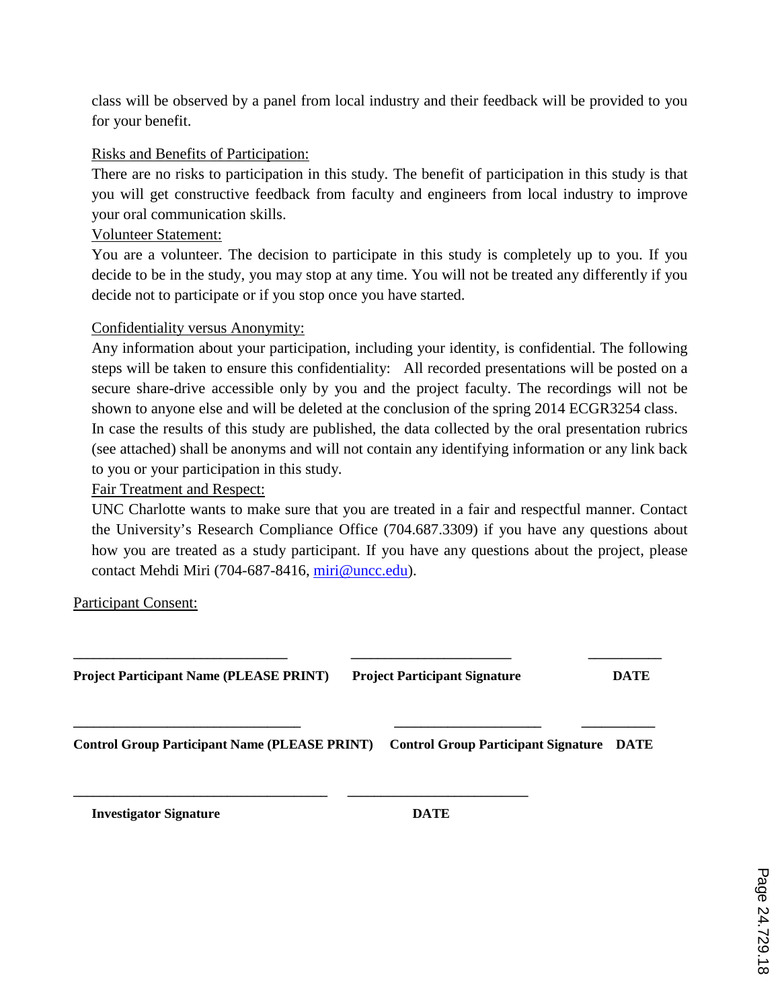class will be observed by a panel from local industry and their feedback will be provided to you for your benefit.

#### Risks and Benefits of Participation:

There are no risks to participation in this study. The benefit of participation in this study is that you will get constructive feedback from faculty and engineers from local industry to improve your oral communication skills.

#### Volunteer Statement:

You are a volunteer. The decision to participate in this study is completely up to you. If you decide to be in the study, you may stop at any time. You will not be treated any differently if you decide not to participate or if you stop once you have started.

#### Confidentiality versus Anonymity:

Any information about your participation, including your identity, is confidential. The following steps will be taken to ensure this confidentiality: All recorded presentations will be posted on a secure share-drive accessible only by you and the project faculty. The recordings will not be shown to anyone else and will be deleted at the conclusion of the spring 2014 ECGR3254 class.

In case the results of this study are published, the data collected by the oral presentation rubrics (see attached) shall be anonyms and will not contain any identifying information or any link back to you or your participation in this study.

Fair Treatment and Respect:

UNC Charlotte wants to make sure that you are treated in a fair and respectful manner. Contact the University's Research Compliance Office (704.687.3309) if you have any questions about how you are treated as a study participant. If you have any questions about the project, please contact Mehdi Miri (704-687-8416, miri@uncc.edu).

#### Participant Consent:

| <b>Project Participant Name (PLEASE PRINT)</b> | <b>Project Participant Signature</b>                                                   | <b>DATE</b> |
|------------------------------------------------|----------------------------------------------------------------------------------------|-------------|
|                                                | Control Group Participant Name (PLEASE PRINT) Control Group Participant Signature DATE |             |
|                                                |                                                                                        |             |

**Investigator Signature DATE**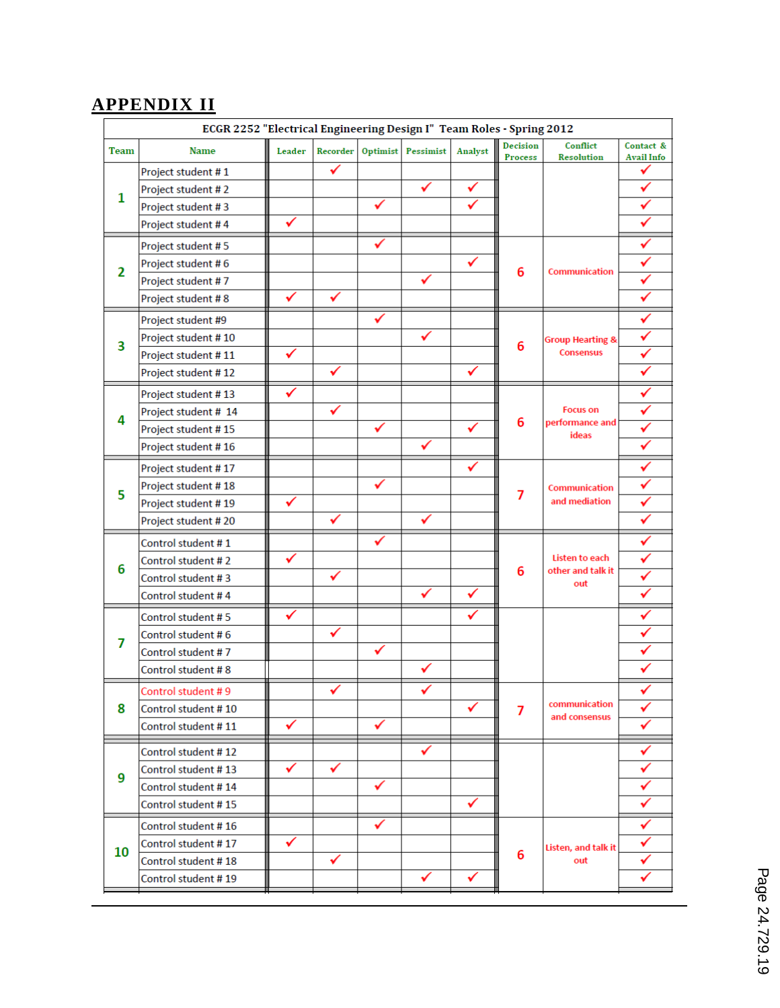# **APPENDIX II**

|      | ECGR 2252 "Electrical Engineering Design I" Team Roles - Spring 2012 |        |          |          |           |         |                            |                                |                                |
|------|----------------------------------------------------------------------|--------|----------|----------|-----------|---------|----------------------------|--------------------------------|--------------------------------|
| Team | <b>Name</b>                                                          | Leader | Recorder | Optimist | Pessimist | Analyst | Decision<br><b>Process</b> | Conflict<br><b>Resolution</b>  | Contact &<br><b>Avail Info</b> |
|      | Project student #1                                                   |        | ✔        |          |           |         |                            |                                |                                |
| 1    | Project student #2                                                   |        |          |          | ✓         |         |                            |                                |                                |
|      | Project student #3                                                   |        |          | ✓        |           |         |                            |                                | ✓                              |
|      | Project student #4                                                   | ✓      |          |          |           |         |                            |                                |                                |
|      | Project student #5                                                   |        |          | ✓        |           |         |                            |                                |                                |
|      | Project student #6                                                   |        |          |          |           | √       |                            | Communication                  |                                |
| 2    | Project student #7                                                   |        |          |          |           |         | 6                          |                                | ✓                              |
|      | Project student #8                                                   | ✓      |          |          |           |         |                            |                                |                                |
|      | Project student #9                                                   |        |          | ✓        |           |         |                            |                                | ✓                              |
| 3    | Project student #10                                                  |        |          |          | ✓         |         |                            | <b>Group Hearting &amp;</b>    |                                |
|      | Project student #11                                                  | ✔      |          |          |           |         | 6                          | <b>Consensus</b>               |                                |
|      | Project student #12                                                  |        | ✓        |          |           | ✓       |                            |                                | ✓                              |
|      | Project student #13                                                  | ✔      |          |          |           |         |                            |                                | ✔                              |
| 4    | Project student # 14                                                 |        | ✓        |          |           |         |                            | <b>Focus on</b>                | ✓                              |
|      | Project student #15                                                  |        |          | ✓        |           |         | 6                          | performance and<br>ideas       |                                |
|      | Project student #16                                                  |        |          |          |           |         |                            |                                |                                |
|      | Project student #17                                                  |        |          |          |           |         | 7                          | Communication<br>and mediation |                                |
| 5    | Project student #18                                                  |        |          | ✓        |           |         |                            |                                |                                |
|      | Project student #19                                                  | ✓      |          |          |           |         |                            |                                | ✓                              |
|      | Project student #20                                                  |        | ✓        |          |           |         |                            |                                |                                |
|      | Control student #1                                                   |        |          | ✓        |           |         |                            |                                |                                |
| 6    | Control student #2                                                   | ✓      |          |          |           |         |                            | Listen to each                 |                                |
|      | Control student #3                                                   |        | ✔        |          |           |         | 6                          | other and talk it<br>out       |                                |
|      | Control student #4                                                   |        |          |          |           | ✓       |                            |                                |                                |
|      | Control student #5                                                   | ✓      |          |          |           | ✓       |                            |                                |                                |
| 7    | Control student #6                                                   |        | ✓        |          |           |         |                            |                                |                                |
|      | Control student #7                                                   |        |          | ✓        |           |         |                            |                                |                                |
|      | Control student #8                                                   |        |          |          |           |         |                            |                                |                                |
|      | Control student #9                                                   |        | ✔        |          |           |         |                            |                                | ✔                              |
| 8    | Control student #10                                                  |        |          |          |           | ✓       | 7                          | communication<br>and consensus | ✓                              |
|      | Control student #11                                                  | ✓      |          | ✓        |           |         |                            |                                | ✓                              |
|      | Control student #12                                                  |        |          |          | ✓         |         |                            |                                |                                |
|      | Control student #13                                                  | ✓      | ✓        |          |           |         |                            |                                | ✓                              |
| 9    | Control student #14                                                  |        |          | ✓        |           |         |                            |                                | ✓                              |
|      | Control student #15                                                  |        |          |          |           | ✓       |                            |                                |                                |
|      | Control student #16                                                  |        |          | ✓        |           |         |                            |                                | ✓                              |
|      | Control student #17                                                  | ✓      |          |          |           |         |                            | Listen, and talk it            |                                |
| 10   | Control student #18                                                  |        | ✓        |          |           |         | 6                          | out                            | ✓                              |
|      | Control student #19                                                  |        |          |          | ✓         | ✓       |                            |                                |                                |
|      |                                                                      |        |          |          |           |         |                            |                                |                                |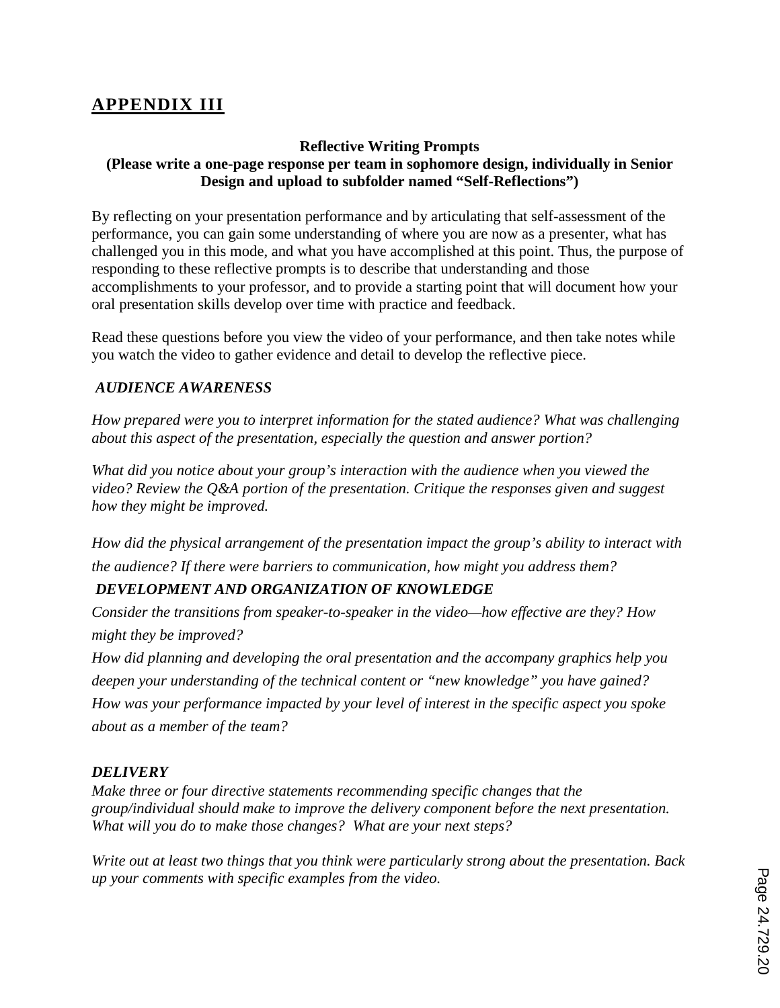# **APPENDIX III**

#### **Reflective Writing Prompts (Please write a one-page response per team in sophomore design, individually in Senior Design and upload to subfolder named "Self-Reflections")**

By reflecting on your presentation performance and by articulating that self-assessment of the performance, you can gain some understanding of where you are now as a presenter, what has challenged you in this mode, and what you have accomplished at this point. Thus, the purpose of responding to these reflective prompts is to describe that understanding and those accomplishments to your professor, and to provide a starting point that will document how your oral presentation skills develop over time with practice and feedback.

Read these questions before you view the video of your performance, and then take notes while you watch the video to gather evidence and detail to develop the reflective piece.

#### *AUDIENCE AWARENESS*

*How prepared were you to interpret information for the stated audience? What was challenging about this aspect of the presentation, especially the question and answer portion?*

*What did you notice about your group's interaction with the audience when you viewed the video? Review the Q&A portion of the presentation. Critique the responses given and suggest how they might be improved.* 

*How did the physical arrangement of the presentation impact the group's ability to interact with the audience? If there were barriers to communication, how might you address them?* 

## *DEVELOPMENT AND ORGANIZATION OF KNOWLEDGE*

*Consider the transitions from speaker-to-speaker in the video—how effective are they? How might they be improved?* 

*How did planning and developing the oral presentation and the accompany graphics help you deepen your understanding of the technical content or "new knowledge" you have gained? How was your performance impacted by your level of interest in the specific aspect you spoke about as a member of the team?* 

#### *DELIVERY*

*Make three or four directive statements recommending specific changes that the group/individual should make to improve the delivery component before the next presentation. What will you do to make those changes? What are your next steps?* 

*Write out at least two things that you think were particularly strong about the presentation. Back up your comments with specific examples from the video.*